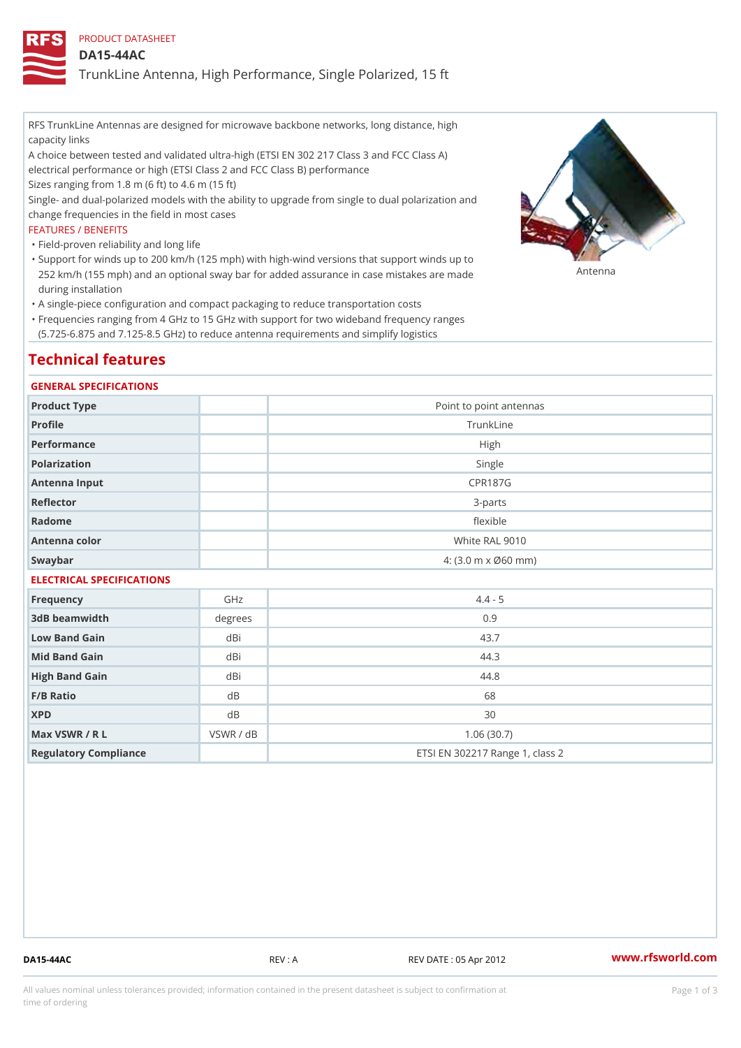PRODUCT DATASHEET

DA15-44AC

TrunkLine Antenna, High Performance, Single Polarized, 15 ft

RFS TrunkLine Antennas are designed for microwave backbone networks, long distance, high capacity links

A choice between tested and validated ultra-high (ETSI EN 302 217 Class 3 and FCC Class A) electrical performance or high (ETSI Class 2 and FCC Class B) performance

Sizes ranging from 1.8 m (6 ft) to 4.6 m (15 ft)

Single- and dual-polarized models with the ability to upgrade from single to dual polarization and change frequencies in the field in most cases

#### FEATURES / BENEFITS

"Field-proven reliability and long life

- Support for winds up to 200 km/h (125 mph) with high-wind versions that support winds up to " 252 km/h (155 mph) and an optional sway bar for added assurance in case m S # \$ R & B are made during installation
- "A single-piece configuration and compact packaging to reduce transportation costs
- Frequencies ranging from 4 GHz to 15 GHz with support for two wideband frequency ranges " (5.725-6.875 and 7.125-8.5 GHz) to reduce antenna requirements and simplify logistics

## Technical features

#### GENERAL SPECIFICATIONS

| Product Type              | Point to point antennas                                 |  |  |
|---------------------------|---------------------------------------------------------|--|--|
| Profile                   | TrunkLine                                               |  |  |
| Performance               | High                                                    |  |  |
| Polarization              | Single                                                  |  |  |
| Antenna Input             | <b>CPR187G</b>                                          |  |  |
| Reflector                 | $3 - p$ arts                                            |  |  |
| Radome                    | flexible                                                |  |  |
| Antenna color             | White RAL 9010                                          |  |  |
| Swaybar                   | $4: (3.0 \, \text{m} \times \emptyset 60 \, \text{mm})$ |  |  |
| FLEATBLANT ABEAIFIANTIANA |                                                         |  |  |

# ELECTRICAL SPECIFICATIONS

| Frequency             | GHz       | $4.4 - 5$                       |
|-----------------------|-----------|---------------------------------|
| 3dB beamwidth         | degrees   | 0.9                             |
| Low Band Gain         | dBi       | 43.7                            |
| Mid Band Gain         | dBi       | 44.3                            |
| High Band Gain        | dBi       | 44.8                            |
| $F/B$ Ratio           | d B       | 68                              |
| <b>XPD</b>            | d B       | 30                              |
| Max VSWR / R L        | VSWR / dB | 1.06(30.7)                      |
| Regulatory Compliance |           | ETSI EN 302217 Range 1, class 2 |

DA15-44AC REV : A REV DATE : 05 Apr 2012 [www.](https://www.rfsworld.com)rfsworld.com

All values nominal unless tolerances provided; information contained in the present datasheet is subject to Pcapgeign mation time of ordering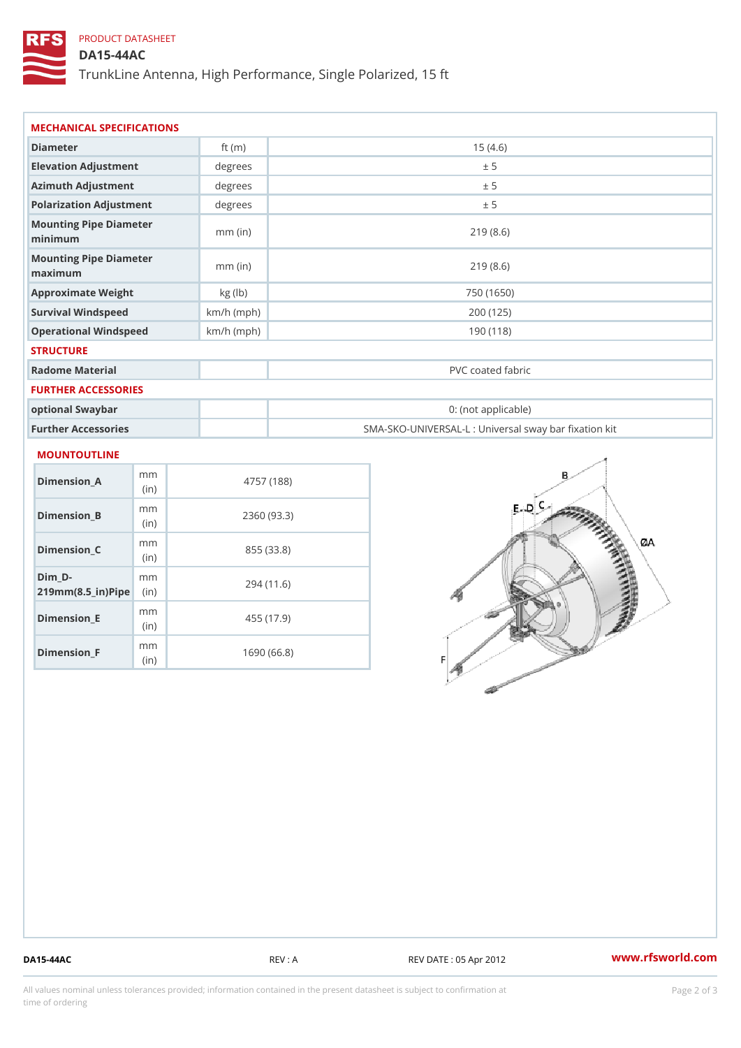## PRODUCT DATASHEET

### DA15-44AC

TrunkLine Antenna, High Performance, Single Polarized, 15 ft

| Diameter                           | ft $(m)$     | 15(4.6)                                           |
|------------------------------------|--------------|---------------------------------------------------|
| Elevation Adjustment               | degrees      | ± 5                                               |
| Azimuth Adjustment                 | degrees      | ± 5                                               |
| Polarization Adjustment            | degrees      | ± 5                                               |
| Mounting Pipe Diameter<br>minimaum | $mm$ (in)    | 219(8.6)                                          |
| Mounting Pipe Diameter<br>maximum  | $mm$ (in)    | 219(8.6)                                          |
| Approximate Weight                 | kg(lb)       | 750 (1650)                                        |
| Survival Windspeed                 | $km/h$ (mph) | 200 (125)                                         |
| Operational Windspeed              | $km/h$ (mph) | 190 (118)                                         |
| <b>STRUCTURE</b>                   |              |                                                   |
| Radome Material                    |              | PVC coated fabric                                 |
| FURTHER ACCESSORIES                |              |                                                   |
| optional Swaybar                   |              | 0: (not applicable)                               |
| Further Accessories                |              | SMA-SKO-UNIVERSAL-L : Universal sway bar fixation |

| Dimension A                                         | m m<br>(i n)             | 4757 (188)  |
|-----------------------------------------------------|--------------------------|-------------|
| Dimension B                                         | m m<br>(i n)             | 2360 (93.3) |
| Dimension C                                         | m m<br>(i <sub>n</sub> ) | 855 (33.8)  |
| Dim D-<br>$219$ m m $(8.5$ $-$ i r $)$ P ii p $\ge$ | m m                      | 294 (11.6)  |
| Dimension_E                                         | m m<br>(in)              | 455 (17.9)  |
| Dimension F                                         | m m<br>(in               | 1690 (66.8) |

DA15-44AC REV : A REV : A REV DATE : 05 Apr 2012 WWW.rfsworld.com